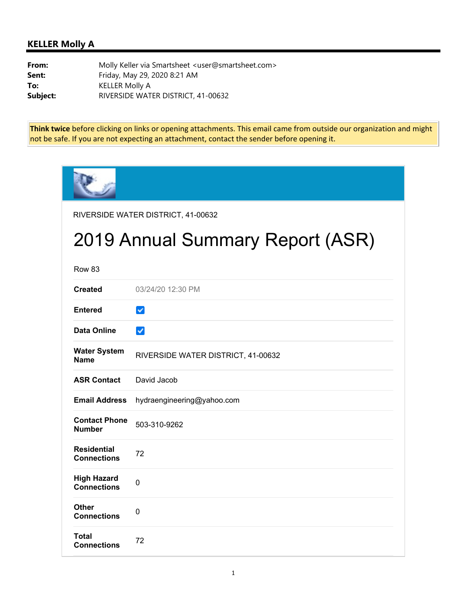## **KELLER Molly A**

**From:** Molly Keller via Smartsheet <user@smartsheet.com> **Sent:** Friday, May 29, 2020 8:21 AM **To:** KELLER Molly A **Subject:** RIVERSIDE WATER DISTRICT, 41-00632

**Think twice** before clicking on links or opening attachments. This email came from outside our organization and might not be safe. If you are not expecting an attachment, contact the sender before opening it.

|                                          | RIVERSIDE WATER DISTRICT, 41-00632 |
|------------------------------------------|------------------------------------|
|                                          | 2019 Annual Summary Report (ASR)   |
| <b>Row 83</b>                            |                                    |
| <b>Created</b>                           | 03/24/20 12:30 PM                  |
| <b>Entered</b>                           | $\checkmark$                       |
| <b>Data Online</b>                       | $\checkmark$                       |
| <b>Water System</b><br><b>Name</b>       | RIVERSIDE WATER DISTRICT, 41-00632 |
| <b>ASR Contact</b>                       | David Jacob                        |
| <b>Email Address</b>                     | hydraengineering@yahoo.com         |
| <b>Contact Phone</b><br><b>Number</b>    | 503-310-9262                       |
| <b>Residential</b><br><b>Connections</b> | 72                                 |
| <b>High Hazard</b><br><b>Connections</b> | $\mathbf 0$                        |
| <b>Other</b><br><b>Connections</b>       | $\Omega$                           |
| Total<br><b>Connections</b>              | 72                                 |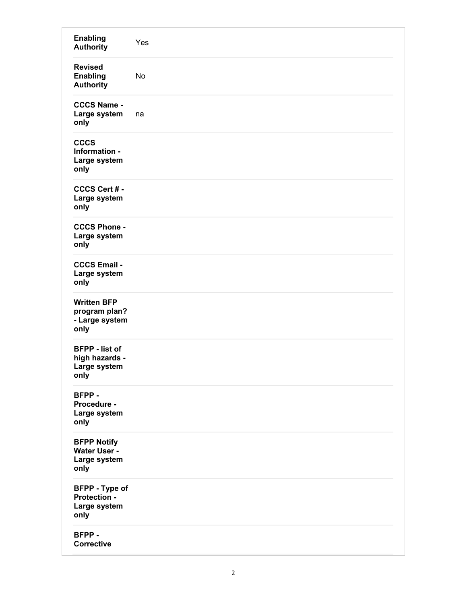| <b>Enabling</b><br><b>Authority</b>                             | Yes |
|-----------------------------------------------------------------|-----|
| <b>Revised</b><br><b>Enabling</b><br><b>Authority</b>           | No  |
| <b>CCCS Name -</b><br>Large system<br>only                      | na  |
| <b>CCCS</b><br>Information -<br>Large system<br>only            |     |
| CCCS Cert # -<br>Large system<br>only                           |     |
| <b>CCCS Phone -</b><br>Large system<br>only                     |     |
| <b>CCCS Email -</b><br>Large system<br>only                     |     |
| <b>Written BFP</b><br>program plan?<br>- Large system<br>only   |     |
| <b>BFPP</b> - list of<br>high hazards -<br>Large system<br>only |     |
| BFPP-<br>Procedure -<br>Large system<br>only                    |     |
| <b>BFPP Notify</b><br>Water User -<br>Large system<br>only      |     |
| <b>BFPP</b> - Type of<br>Protection -<br>Large system<br>only   |     |
| BFPP-<br><b>Corrective</b>                                      |     |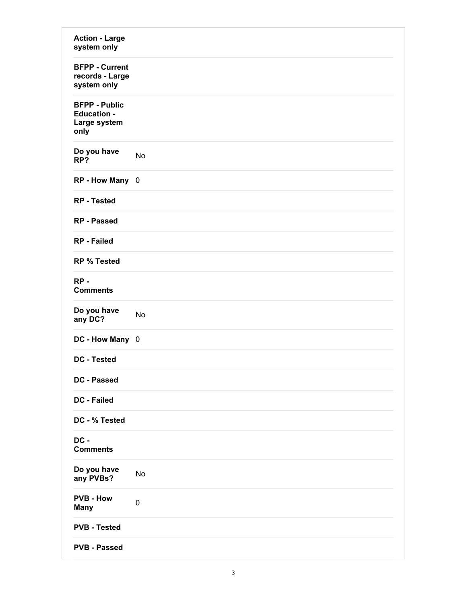| <b>Action - Large</b><br>system only                               |           |
|--------------------------------------------------------------------|-----------|
| <b>BFPP - Current</b><br>records - Large<br>system only            |           |
| <b>BFPP - Public</b><br><b>Education -</b><br>Large system<br>only |           |
| Do you have<br>RP?                                                 | No        |
| RP - How Many 0                                                    |           |
| <b>RP</b> - Tested                                                 |           |
| <b>RP</b> - Passed                                                 |           |
| <b>RP</b> - Failed                                                 |           |
| <b>RP % Tested</b>                                                 |           |
| $RP -$<br><b>Comments</b>                                          |           |
| Do you have<br>any DC?                                             | No        |
| DC - How Many 0                                                    |           |
| <b>DC - Tested</b>                                                 |           |
| DC - Passed                                                        |           |
| <b>DC - Failed</b>                                                 |           |
| DC - % Tested                                                      |           |
| DC -<br><b>Comments</b>                                            |           |
| Do you have<br>any PVBs?                                           | No        |
| <b>PVB - How</b><br><b>Many</b>                                    | $\pmb{0}$ |
| <b>PVB - Tested</b>                                                |           |
| <b>PVB - Passed</b>                                                |           |